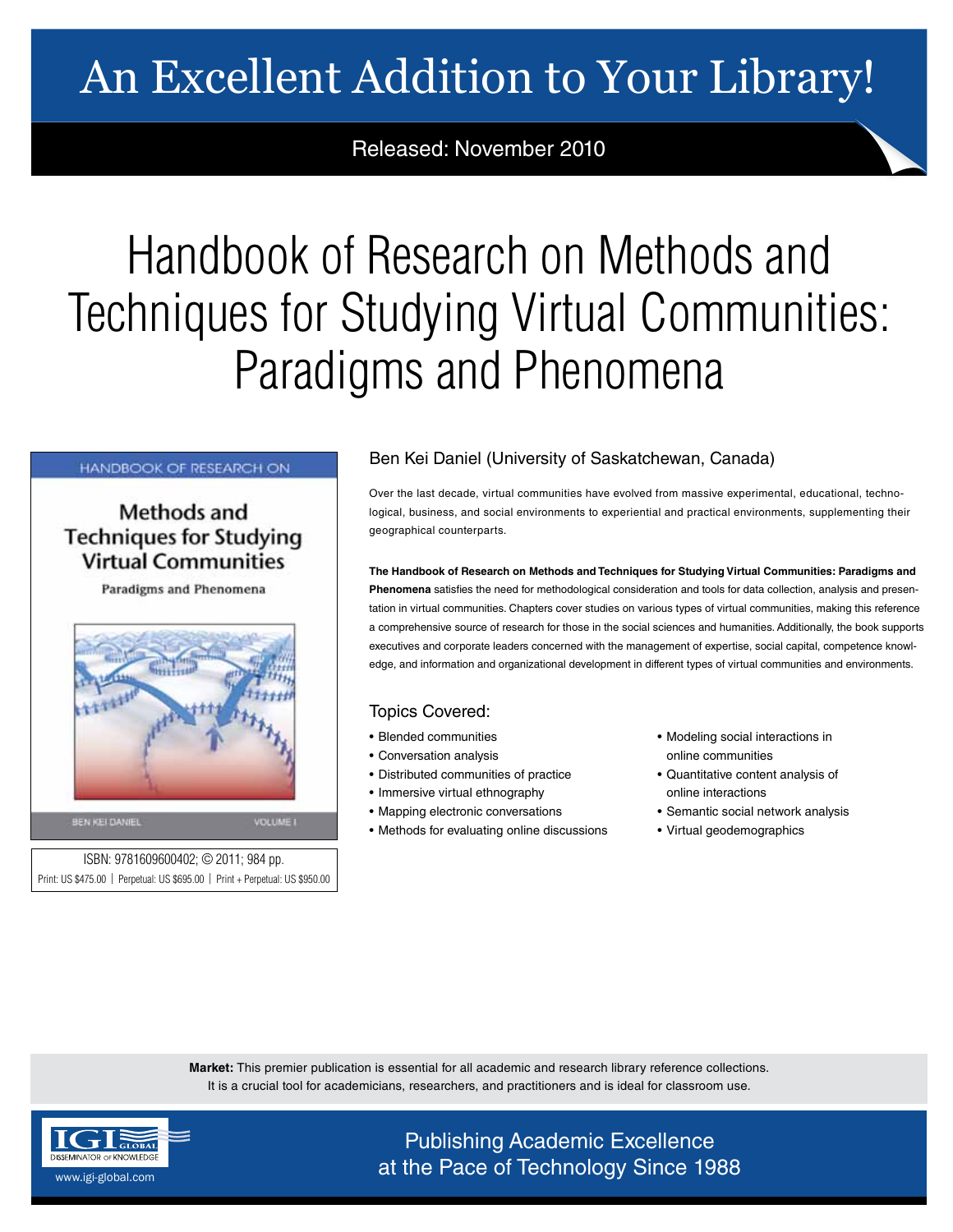# An Excellent Addition to Your Library!

Released: November 2010

# Handbook of Research on Methods and Techniques for Studying Virtual Communities: Paradigms and Phenomena

# **HANDBOOK OF RESEARCH ON**

# Methods and **Techniques for Studying Virtual Communities**

Paradigms and Phenomena



BEN KEI DANIEL

ISBN: 9781609600402; © 2011; 984 pp. Print: US \$475.00 | Perpetual: US \$695.00 | Print + Perpetual: US \$950.00

# Ben Kei Daniel (University of Saskatchewan, Canada)

Over the last decade, virtual communities have evolved from massive experimental, educational, technological, business, and social environments to experiential and practical environments, supplementing their geographical counterparts.

**The Handbook of Research on Methods and Techniques for Studying Virtual Communities: Paradigms and Phenomena** satisfies the need for methodological consideration and tools for data collection, analysis and presentation in virtual communities. Chapters cover studies on various types of virtual communities, making this reference a comprehensive source of research for those in the social sciences and humanities. Additionally, the book supports executives and corporate leaders concerned with the management of expertise, social capital, competence knowledge, and information and organizational development in different types of virtual communities and environments.

# Topics Covered:

- Blended communities
- Conversation analysis
- Distributed communities of practice
- Immersive virtual ethnography
- Mapping electronic conversations
- Methods for evaluating online discussions
- Modeling social interactions in online communities
- Quantitative content analysis of online interactions
- Semantic social network analysis
- Virtual geodemographics

**Market:** This premier publication is essential for all academic and research library reference collections. It is a crucial tool for academicians, researchers, and practitioners and is ideal for classroom use.



Publishing Academic Excellence  $\frac{\text{asymalor of KNOWEDG}}{\text{asymalof of KNOWEDG}}$  at the Pace of Technology Since 1988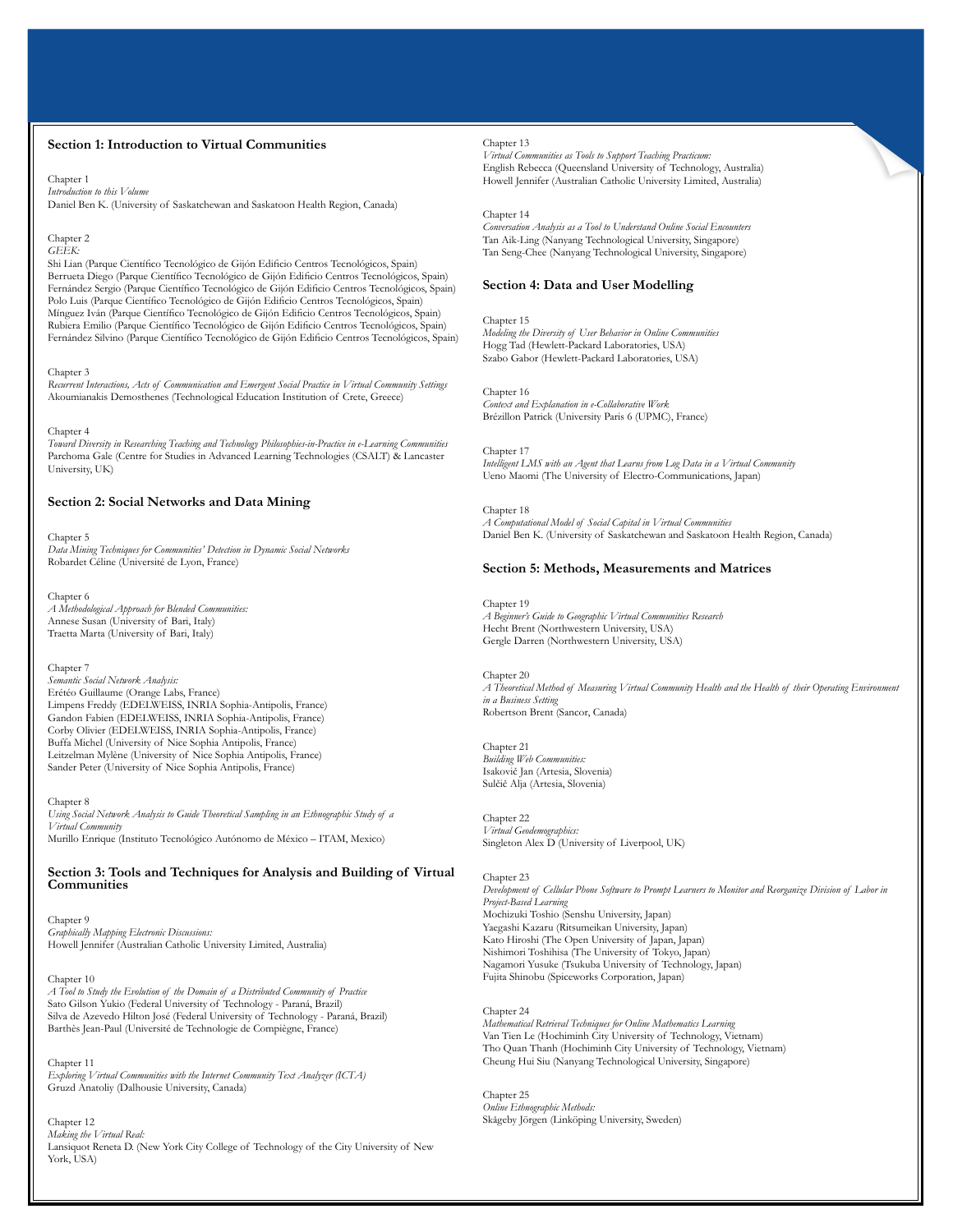# **Section 1: Introduction to Virtual Communities**

Chapter 1 *Introduction to this Volume* Daniel Ben K. (University of Saskatchewan and Saskatoon Health Region, Canada)

#### Chapter 2 *GEEK:*

Shi Lian (Parque Científico Tecnológico de Gijón Edificio Centros Tecnológicos, Spain) Berrueta Diego (Parque Científico Tecnológico de Gijón Edificio Centros Tecnológicos, Spain) Fernández Sergio (Parque Científico Tecnológico de Gijón Edificio Centros Tecnológicos, Spain) Polo Luis (Parque Científico Tecnológico de Gijón Edificio Centros Tecnológicos, Spain) Mínguez Iván (Parque Científico Tecnológico de Gijón Edificio Centros Tecnológicos, Spain) Rubiera Emilio (Parque Científico Tecnológico de Gijón Edificio Centros Tecnológicos, Spain) Fernández Silvino (Parque Científico Tecnológico de Gijón Edificio Centros Tecnológicos, Spain)

#### Chapter 3

*Recurrent Interactions, Acts of Communication and Emergent Social Practice in Virtual Community Settings* Akoumianakis Demosthenes (Technological Education Institution of Crete, Greece)

Chapter 4 *Toward Diversity in Researching Teaching and Technology Philosophies-in-Practice in e-Learning Communities* Parchoma Gale (Centre for Studies in Advanced Learning Technologies (CSALT) & Lancaster University, UK)

# **Section 2: Social Networks and Data Mining**

Chapter 5 *Data Mining Techniques for Communities' Detection in Dynamic Social Networks* Robardet Céline (Université de Lyon, France)

Chapter 6 *A Methodological Approach for Blended Communities:* Annese Susan (University of Bari, Italy) Traetta Marta (University of Bari, Italy)

### Chapter 7

*Semantic Social Network Analysis:* Erétéo Guillaume (Orange Labs, France) Limpens Freddy (EDELWEISS, INRIA Sophia-Antipolis, France) Gandon Fabien (EDELWEISS, INRIA Sophia-Antipolis, France) Corby Olivier (EDELWEISS, INRIA Sophia-Antipolis, France) Buffa Michel (University of Nice Sophia Antipolis, France) Leitzelman Mylène (University of Nice Sophia Antipolis, France) Sander Peter (University of Nice Sophia Antipolis, France)

Chapter 8

*Using Social Network Analysis to Guide Theoretical Sampling in an Ethnographic Study of a Virtual Community* Murillo Enrique (Instituto Tecnológico Autónomo de México – ITAM, Mexico)

## **Section 3: Tools and Techniques for Analysis and Building of Virtual Communities**

Chapter 9 *Graphically Mapping Electronic Discussions:* Howell Jennifer (Australian Catholic University Limited, Australia)

#### Chapter 10

*A Tool to Study the Evolution of the Domain of a Distributed Community of Practice* Sato Gilson Yukio (Federal University of Technology - Paraná, Brazil) Silva de Azevedo Hilton José (Federal University of Technology - Paraná, Brazil) Barthès Jean-Paul (Université de Technologie de Compiègne, France)

#### Chapter 11

*Exploring Virtual Communities with the Internet Community Text Analyzer (ICTA)* Gruzd Anatoliy (Dalhousie University, Canada)

Chapter 12

*Making the Virtual Real:* Lansiquot Reneta D. (New York City College of Technology of the City University of New York, USA)

# Chapter 13

*Virtual Communities as Tools to Support Teaching Practicum:* English Rebecca (Queensland University of Technology, Australia) Howell Jennifer (Australian Catholic University Limited, Australia)

Chapter 14

*Conversation Analysis as a Tool to Understand Online Social Encounters* Tan Aik-Ling (Nanyang Technological University, Singapore) Tan Seng-Chee (Nanyang Technological University, Singapore)

## **Section 4: Data and User Modelling**

Chapter 15 *Modeling the Diversity of User Behavior in Online Communities* Hogg Tad (Hewlett-Packard Laboratories, USA) Szabo Gabor (Hewlett-Packard Laboratories, USA)

Chapter 16 *Context and Explanation in e-Collaborative Work* Brézillon Patrick (University Paris 6 (UPMC), France)

Chapter 17 *Intelligent LMS with an Agent that Learns from Log Data in a Virtual Community* Ueno Maomi (The University of Electro-Communications, Japan)

Chapter 18 *A Computational Model of Social Capital in Virtual Communities* Daniel Ben K. (University of Saskatchewan and Saskatoon Health Region, Canada)

## **Section 5: Methods, Measurements and Matrices**

Chapter 19 *A Beginner's Guide to Geographic Virtual Communities Research* Hecht Brent (Northwestern University, USA) Gergle Darren (Northwestern University, USA)

Chapter 20 *A Theoretical Method of Measuring Virtual Community Health and the Health of their Operating Environment in a Business Setting* Robertson Brent (Sancor, Canada)

Chapter 21 *Building Web Communities:* Isakovič Jan (Artesia, Slovenia) Sulčič Alja (Artesia, Slovenia)

Chapter 22 *Virtual Geodemographics:* Singleton Alex D (University of Liverpool, UK)

Chapter 23 *Development of Cellular Phone Software to Prompt Learners to Monitor and Reorganize Division of Labor in Project-Based Learning* Mochizuki Toshio (Senshu University, Japan) Yaegashi Kazaru (Ritsumeikan University, Japan) Kato Hiroshi (The Open University of Japan, Japan) Nishimori Toshihisa (The University of Tokyo, Japan) Nagamori Yusuke (Tsukuba University of Technology, Japan) Fujita Shinobu (Spiceworks Corporation, Japan)

## Chapter 24

*Mathematical Retrieval Techniques for Online Mathematics Learning* Van Tien Le (Hochiminh City University of Technology, Vietnam) Tho Quan Thanh (Hochiminh City University of Technology, Vietnam) Cheung Hui Siu (Nanyang Technological University, Singapore)

Chapter 25 *Online Ethnographic Methods:* Skågeby Jörgen (Linköping University, Sweden)